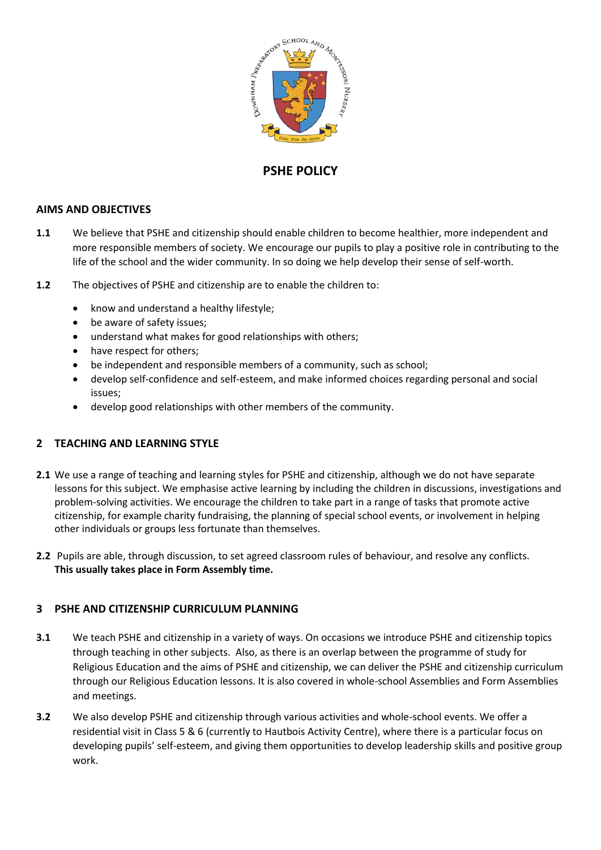

# **PSHE POLICY**

## **AIMS AND OBJECTIVES**

- **1.1** We believe that PSHE and citizenship should enable children to become healthier, more independent and more responsible members of society. We encourage our pupils to play a positive role in contributing to the life of the school and the wider community. In so doing we help develop their sense of self-worth.
- **1.2** The objectives of PSHE and citizenship are to enable the children to:
	- know and understand a healthy lifestyle;
	- be aware of safety issues;
	- understand what makes for good relationships with others;
	- have respect for others;
	- be independent and responsible members of a community, such as school;
	- develop self-confidence and self-esteem, and make informed choices regarding personal and social issues;
	- develop good relationships with other members of the community.

## **2 TEACHING AND LEARNING STYLE**

- **2.1** We use a range of teaching and learning styles for PSHE and citizenship, although we do not have separate lessons for this subject. We emphasise active learning by including the children in discussions, investigations and problem-solving activities. We encourage the children to take part in a range of tasks that promote active citizenship, for example charity fundraising, the planning of special school events, or involvement in helping other individuals or groups less fortunate than themselves.
- **2.2** Pupils are able, through discussion, to set agreed classroom rules of behaviour, and resolve any conflicts. **This usually takes place in Form Assembly time.**

## **3 PSHE AND CITIZENSHIP CURRICULUM PLANNING**

- **3.1** We teach PSHE and citizenship in a variety of ways. On occasions we introduce PSHE and citizenship topics through teaching in other subjects. Also, as there is an overlap between the programme of study for Religious Education and the aims of PSHE and citizenship, we can deliver the PSHE and citizenship curriculum through our Religious Education lessons. It is also covered in whole-school Assemblies and Form Assemblies and meetings.
- **3.2** We also develop PSHE and citizenship through various activities and whole-school events. We offer a residential visit in Class 5 & 6 (currently to Hautbois Activity Centre), where there is a particular focus on developing pupils' self-esteem, and giving them opportunities to develop leadership skills and positive group work.